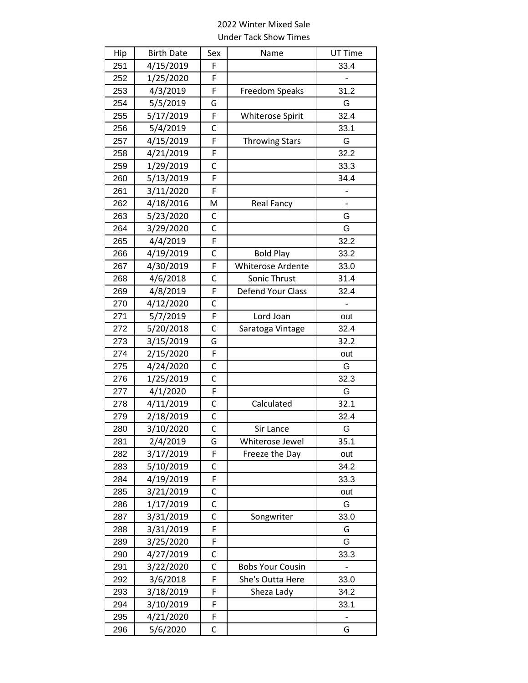## 2022 Winter Mixed Sale Under Tack Show Times

| Hip | <b>Birth Date</b> | Sex          | Name                     | UT Time        |
|-----|-------------------|--------------|--------------------------|----------------|
| 251 | 4/15/2019         | F            |                          | 33.4           |
| 252 | 1/25/2020         | F            |                          |                |
| 253 | 4/3/2019          | F            | Freedom Speaks           | 31.2           |
| 254 | 5/5/2019          | G            |                          | G              |
| 255 | 5/17/2019         | F            | Whiterose Spirit         | 32.4           |
| 256 | 5/4/2019          | C            |                          | 33.1           |
| 257 | 4/15/2019         | F            | <b>Throwing Stars</b>    | G              |
| 258 | 4/21/2019         | F            |                          | 32.2           |
| 259 | 1/29/2019         | C            |                          | 33.3           |
| 260 | 5/13/2019         | F            |                          | 34.4           |
| 261 | 3/11/2020         | F            |                          |                |
| 262 | 4/18/2016         | M            | <b>Real Fancy</b>        | -              |
| 263 | 5/23/2020         | C            |                          | G              |
| 264 | 3/29/2020         | C            |                          | G              |
| 265 | 4/4/2019          | F            |                          | 32.2           |
| 266 | 4/19/2019         | C            | <b>Bold Play</b>         | 33.2           |
| 267 | 4/30/2019         | F            | <b>Whiterose Ardente</b> | 33.0           |
| 268 | 4/6/2018          | C            | Sonic Thrust             | 31.4           |
| 269 | 4/8/2019          | F            | Defend Your Class        | 32.4           |
| 270 | 4/12/2020         | C            |                          | $\blacksquare$ |
| 271 | 5/7/2019          | F            | Lord Joan                | out            |
| 272 | 5/20/2018         | C            | Saratoga Vintage         | 32.4           |
| 273 | 3/15/2019         | G            |                          | 32.2           |
| 274 | 2/15/2020         | F            |                          | out            |
| 275 | 4/24/2020         | C            |                          | G              |
| 276 | 1/25/2019         | C            |                          | 32.3           |
| 277 | 4/1/2020          | F            |                          | G              |
| 278 | 4/11/2019         | C            | Calculated               | 32.1           |
| 279 | 2/18/2019         | С            |                          | 32.4           |
| 280 | 3/10/2020         | $\mathsf{C}$ | Sir Lance                | G              |
| 281 | 2/4/2019          | G            | Whiterose Jewel          | 35.1           |
| 282 | 3/17/2019         | F            | Freeze the Day           | out            |
| 283 | 5/10/2019         | C            |                          | 34.2           |
| 284 | 4/19/2019         | F            |                          | 33.3           |
| 285 | 3/21/2019         | C            |                          | out            |
| 286 | 1/17/2019         | C            |                          | G              |
| 287 | 3/31/2019         | C            | Songwriter               | 33.0           |
| 288 | 3/31/2019         | F            |                          | G              |
| 289 | 3/25/2020         | F            |                          | G              |
| 290 | 4/27/2019         | C            |                          | 33.3           |
| 291 | 3/22/2020         | С            | <b>Bobs Your Cousin</b>  |                |
| 292 | 3/6/2018          | F            | She's Outta Here         | 33.0           |
| 293 | 3/18/2019         | F            | Sheza Lady               | 34.2           |
| 294 | 3/10/2019         | F            |                          | 33.1           |
| 295 | 4/21/2020         | F            |                          |                |
| 296 | 5/6/2020          | С            |                          | G              |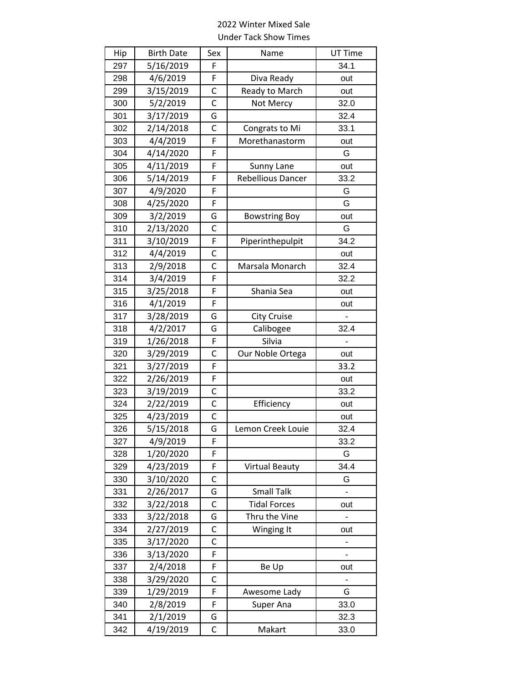## 2022 Winter Mixed Sale Under Tack Show Times

| Hip | <b>Birth Date</b> | Sex | Name                     | UT Time |
|-----|-------------------|-----|--------------------------|---------|
| 297 | 5/16/2019         | F   |                          | 34.1    |
| 298 | 4/6/2019          | F   | Diva Ready               | out     |
| 299 | 3/15/2019         | C   | Ready to March           | out     |
| 300 | 5/2/2019          | Ċ   | Not Mercy                | 32.0    |
| 301 | 3/17/2019         | G   |                          | 32.4    |
| 302 | 2/14/2018         | C   | Congrats to Mi           | 33.1    |
| 303 | 4/4/2019          | F   | Morethanastorm           | out     |
| 304 | 4/14/2020         | F   |                          | G       |
| 305 | 4/11/2019         | F   | Sunny Lane               | out     |
| 306 | 5/14/2019         | F   | <b>Rebellious Dancer</b> | 33.2    |
| 307 | 4/9/2020          | F   |                          | G       |
| 308 | 4/25/2020         | F   |                          | G       |
| 309 | 3/2/2019          | G   | <b>Bowstring Boy</b>     | out     |
| 310 | 2/13/2020         | C   |                          | G       |
| 311 | 3/10/2019         | F   | Piperinthepulpit         | 34.2    |
| 312 | 4/4/2019          | C   |                          | out     |
| 313 | 2/9/2018          | C   | Marsala Monarch          | 32.4    |
| 314 | 3/4/2019          | F   |                          | 32.2    |
| 315 | 3/25/2018         | F   | Shania Sea               | out     |
| 316 | 4/1/2019          | F   |                          | out     |
| 317 | 3/28/2019         | G   | <b>City Cruise</b>       |         |
| 318 | 4/2/2017          | G   | Calibogee                | 32.4    |
| 319 | 1/26/2018         | F   | Silvia                   |         |
| 320 | 3/29/2019         | C   | Our Noble Ortega         | out     |
| 321 | 3/27/2019         | F   |                          | 33.2    |
| 322 | 2/26/2019         | F   |                          | out     |
| 323 | 3/19/2019         | C   |                          | 33.2    |
| 324 | 2/22/2019         | C   | Efficiency               | out     |
| 325 | 4/23/2019         | C   |                          | out     |
| 326 | 5/15/2018         | G   | Lemon Creek Louie        | 32.4    |
| 327 | 4/9/2019          | F   |                          | 33.2    |
| 328 | 1/20/2020         | F   |                          | G       |
| 329 | 4/23/2019         | F   | <b>Virtual Beauty</b>    | 34.4    |
| 330 | 3/10/2020         | C   |                          | G       |
| 331 | 2/26/2017         | G   | <b>Small Talk</b>        |         |
| 332 | 3/22/2018         | С   | <b>Tidal Forces</b>      | out     |
| 333 | 3/22/2018         | G   | Thru the Vine            |         |
| 334 | 2/27/2019         | С   | Winging It               | out     |
| 335 | 3/17/2020         | C   |                          |         |
| 336 | 3/13/2020         | F   |                          |         |
| 337 | 2/4/2018          | F   | Be Up                    | out     |
| 338 | 3/29/2020         | С   |                          |         |
| 339 | 1/29/2019         | F   | Awesome Lady             | G       |
| 340 | 2/8/2019          | F   | Super Ana                | 33.0    |
| 341 | 2/1/2019          | G   |                          | 32.3    |
| 342 | 4/19/2019         | C   | Makart                   | 33.0    |